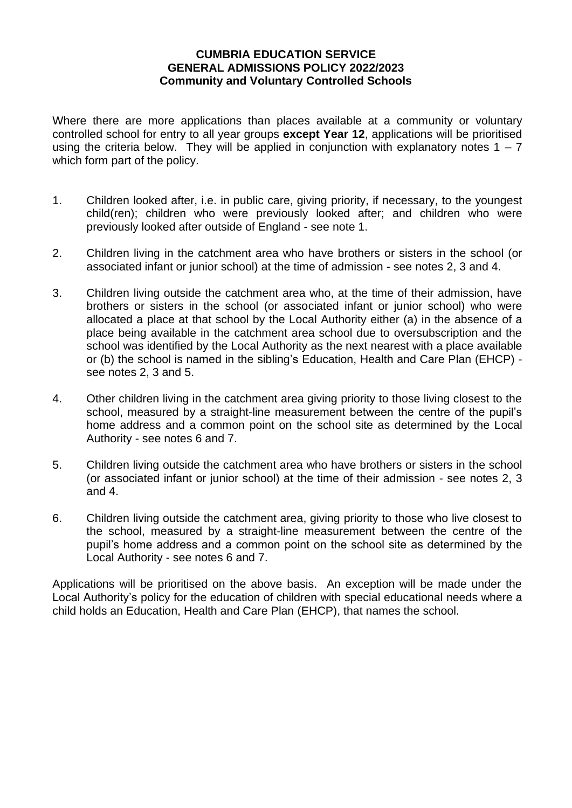#### **CUMBRIA EDUCATION SERVICE GENERAL ADMISSIONS POLICY 2022/2023 Community and Voluntary Controlled Schools**

Where there are more applications than places available at a community or voluntary controlled school for entry to all year groups **except Year 12**, applications will be prioritised using the criteria below. They will be applied in conjunction with explanatory notes  $1 - 7$ which form part of the policy.

- 1. Children looked after, i.e. in public care, giving priority, if necessary, to the youngest child(ren); children who were previously looked after; and children who were previously looked after outside of England - see note 1.
- 2. Children living in the catchment area who have brothers or sisters in the school (or associated infant or junior school) at the time of admission - see notes 2, 3 and 4.
- 3. Children living outside the catchment area who, at the time of their admission, have brothers or sisters in the school (or associated infant or junior school) who were allocated a place at that school by the Local Authority either (a) in the absence of a place being available in the catchment area school due to oversubscription and the school was identified by the Local Authority as the next nearest with a place available or (b) the school is named in the sibling's Education, Health and Care Plan (EHCP) see notes 2, 3 and 5.
- 4. Other children living in the catchment area giving priority to those living closest to the school, measured by a straight-line measurement between the centre of the pupil's home address and a common point on the school site as determined by the Local Authority - see notes 6 and 7.
- 5. Children living outside the catchment area who have brothers or sisters in the school (or associated infant or junior school) at the time of their admission - see notes 2, 3 and 4.
- 6. Children living outside the catchment area, giving priority to those who live closest to the school, measured by a straight-line measurement between the centre of the pupil's home address and a common point on the school site as determined by the Local Authority - see notes 6 and 7.

Applications will be prioritised on the above basis. An exception will be made under the Local Authority's policy for the education of children with special educational needs where a child holds an Education, Health and Care Plan (EHCP), that names the school.